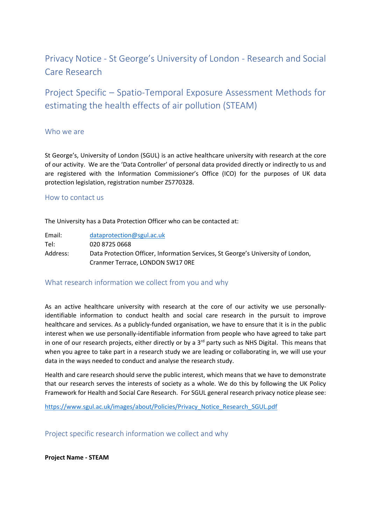# Privacy Notice - St George's University of London - Research and Social Care Research

Project Specific – Spatio-Temporal Exposure Assessment Methods for estimating the health effects of air pollution (STEAM)

#### Who we are

St George's, University of London (SGUL) is an active healthcare university with research at the core of our activity. We are the 'Data Controller' of personal data provided directly or indirectly to us and are registered with the Information Commissioner's Office (ICO) for the purposes of UK data protection legislation, registration number Z5770328.

#### How to contact us

The University has a Data Protection Officer who can be contacted at:

Email: [dataprotection@sgul.ac.uk](mailto:dataprotection@sgul.ac.uk) Tel: 020 8725 0668 Address: Data Protection Officer, Information Services, St George's University of London, Cranmer Terrace, LONDON SW17 0RE

### What research information we collect from you and why

As an active healthcare university with research at the core of our activity we use personallyidentifiable information to conduct health and social care research in the pursuit to improve healthcare and services. As a publicly-funded organisation, we have to ensure that it is in the public interest when we use personally-identifiable information from people who have agreed to take part in one of our research projects, either directly or by a 3<sup>rd</sup> party such as NHS Digital. This means that when you agree to take part in a research study we are leading or collaborating in, we will use your data in the ways needed to conduct and analyse the research study.

Health and care research should serve the public interest, which means that we have to demonstrate that our research serves the interests of society as a whole. We do this by following the UK Policy Framework for Health and Social Care Research. For SGUL general research privacy notice please see:

[https://www.sgul.ac.uk/images/about/Policies/Privacy\\_Notice\\_Research\\_SGUL.pdf](https://www.sgul.ac.uk/images/about/Policies/Privacy_Notice_Research_SGUL.pdf)

Project specific research information we collect and why

**Project Name - STEAM**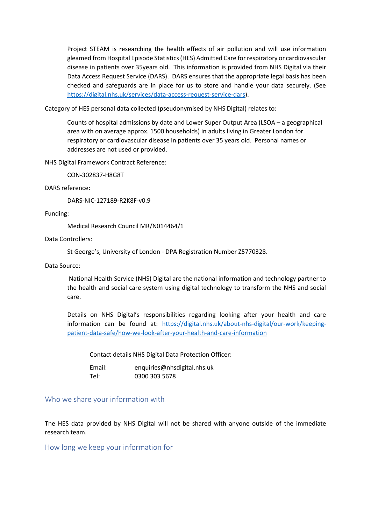Project STEAM is researching the health effects of air pollution and will use information gleamed from Hospital Episode Statistics (HES) Admitted Care for respiratory or cardiovascular disease in patients over 35years old. This information is provided from NHS Digital via their Data Access Request Service (DARS). DARS ensures that the appropriate legal basis has been checked and safeguards are in place for us to store and handle your data securely. (See [https://digital.nhs.uk/services/data-access-request-service-dars\)](https://digital.nhs.uk/services/data-access-request-service-dars).

Category of HES personal data collected (pseudonymised by NHS Digital) relates to:

Counts of hospital admissions by date and Lower Super Output Area (LSOA – a geographical area with on average approx. 1500 households) in adults living in Greater London for respiratory or cardiovascular disease in patients over 35 years old. Personal names or addresses are not used or provided.

NHS Digital Framework Contract Reference:

CON-302837-H8G8T

DARS reference:

DARS-NIC-127189-R2K8F-v0.9

Funding:

Medical Research Council MR/N014464/1

Data Controllers:

St George's, University of London - DPA Registration Number Z5770328.

Data Source:

National Health Service (NHS) Digital are the national information and technology partner to the health and social care system using digital technology to transform the NHS and social care.

Details on NHS Digital's responsibilities regarding looking after your health and care information can be found at: [https://digital.nhs.uk/about-nhs-digital/our-work/keeping](https://digital.nhs.uk/about-nhs-digital/our-work/keeping-patient-data-safe/how-we-look-after-your-health-and-care-information)[patient-data-safe/how-we-look-after-your-health-and-care-information](https://digital.nhs.uk/about-nhs-digital/our-work/keeping-patient-data-safe/how-we-look-after-your-health-and-care-information)

Contact details NHS Digital Data Protection Officer:

Email: enquiries@nhsdigital.nhs.uk Tel: 0300 303 5678

### Who we share your information with

The HES data provided by NHS Digital will not be shared with anyone outside of the immediate research team.

How long we keep your information for